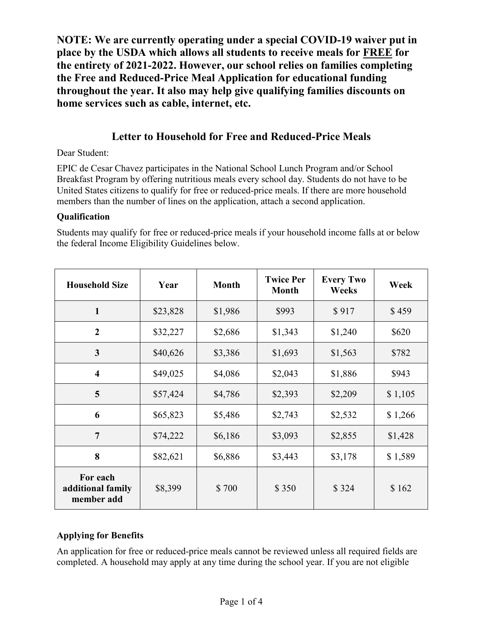**NOTE: We are currently operating under a special COVID-19 waiver put in place by the USDA which allows all students to receive meals for FREE for the entirety of 2021-2022. However, our school relies on families completing the Free and Reduced-Price Meal Application for educational funding throughout the year. It also may help give qualifying families discounts on home services such as cable, internet, etc.**

# **Letter to Household for Free and Reduced-Price Meals**

Dear Student:

EPIC de Cesar Chavez participates in the National School Lunch Program and/or School Breakfast Program by offering nutritious meals every school day. Students do not have to be United States citizens to qualify for free or reduced-price meals. If there are more household members than the number of lines on the application, attach a second application.

## **Qualification**

Students may qualify for free or reduced-price meals if your household income falls at or below the federal Income Eligibility Guidelines below.

| <b>Household Size</b>                       | Year     | <b>Month</b> | <b>Twice Per</b><br><b>Month</b> | <b>Every Two</b><br><b>Weeks</b> | Week    |
|---------------------------------------------|----------|--------------|----------------------------------|----------------------------------|---------|
| 1                                           | \$23,828 | \$1,986      | \$993                            | \$917                            | \$459   |
| $\overline{2}$                              | \$32,227 | \$2,686      | \$1,343                          | \$1,240                          | \$620   |
| 3                                           | \$40,626 | \$3,386      | \$1,693                          | \$1,563                          | \$782   |
| $\overline{\mathbf{4}}$                     | \$49,025 | \$4,086      | \$2,043                          | \$1,886                          | \$943   |
| 5                                           | \$57,424 | \$4,786      | \$2,393                          | \$2,209                          | \$1,105 |
| 6                                           | \$65,823 | \$5,486      | \$2,743                          | \$2,532                          | \$1,266 |
| $\overline{7}$                              | \$74,222 | \$6,186      | \$3,093                          | \$2,855                          | \$1,428 |
| 8                                           | \$82,621 | \$6,886      | \$3,443                          | \$3,178                          | \$1,589 |
| For each<br>additional family<br>member add | \$8,399  | \$700        | \$350                            | \$324                            | \$162   |

## **Applying for Benefits**

An application for free or reduced-price meals cannot be reviewed unless all required fields are completed. A household may apply at any time during the school year. If you are not eligible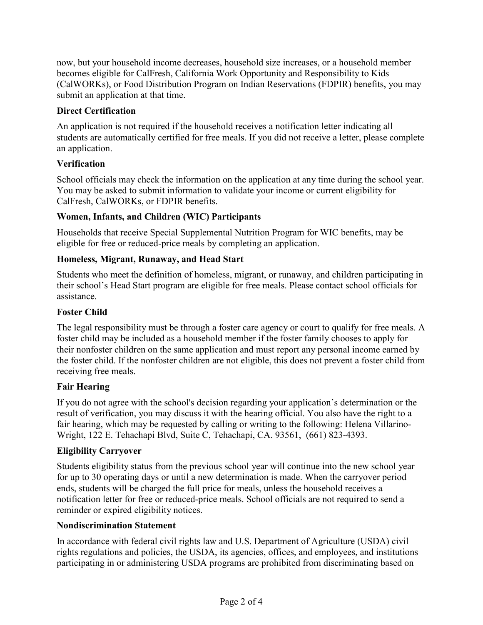now, but your household income decreases, household size increases, or a household member becomes eligible for CalFresh, California Work Opportunity and Responsibility to Kids (CalWORKs), or Food Distribution Program on Indian Reservations (FDPIR) benefits, you may submit an application at that time.

### **Direct Certification**

An application is not required if the household receives a notification letter indicating all students are automatically certified for free meals. If you did not receive a letter, please complete an application.

## **Verification**

School officials may check the information on the application at any time during the school year. You may be asked to submit information to validate your income or current eligibility for CalFresh, CalWORKs, or FDPIR benefits.

## **Women, Infants, and Children (WIC) Participants**

Households that receive Special Supplemental Nutrition Program for WIC benefits, may be eligible for free or reduced-price meals by completing an application.

## **Homeless, Migrant, Runaway, and Head Start**

Students who meet the definition of homeless, migrant, or runaway, and children participating in their school's Head Start program are eligible for free meals. Please contact school officials for assistance.

#### **Foster Child**

The legal responsibility must be through a foster care agency or court to qualify for free meals. A foster child may be included as a household member if the foster family chooses to apply for their nonfoster children on the same application and must report any personal income earned by the foster child. If the nonfoster children are not eligible, this does not prevent a foster child from receiving free meals.

#### **Fair Hearing**

If you do not agree with the school's decision regarding your application's determination or the result of verification, you may discuss it with the hearing official. You also have the right to a fair hearing, which may be requested by calling or writing to the following: [Helena Villarino-](mailto:hvillarino-wright@fieldinstitute.org)[Wright,](mailto:hvillarino-wright@fieldinstitute.org) 122 E. Tehachapi Blvd, Suite C, Tehachapi, CA. 93561, (661) 823-4393.

#### **Eligibility Carryover**

Students eligibility status from the previous school year will continue into the new school year for up to 30 operating days or until a new determination is made. When the carryover period ends, students will be charged the full price for meals, unless the household receives a notification letter for free or reduced-price meals. School officials are not required to send a reminder or expired eligibility notices.

#### **Nondiscrimination Statement**

In accordance with federal civil rights law and U.S. Department of Agriculture (USDA) civil rights regulations and policies, the USDA, its agencies, offices, and employees, and institutions participating in or administering USDA programs are prohibited from discriminating based on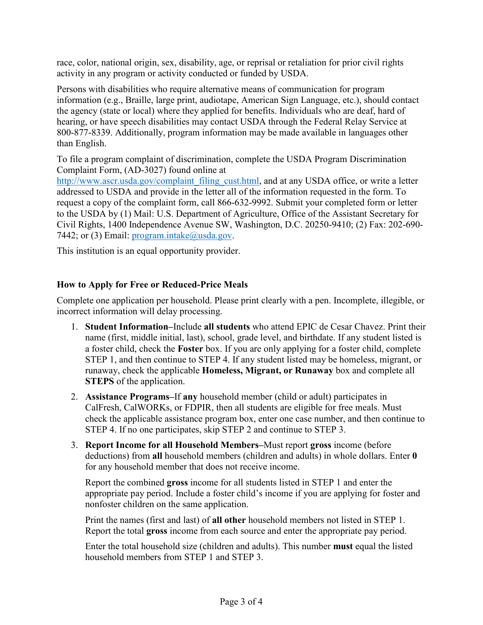race, color, national origin, sex, disability, age, or reprisal or retaliation for prior civil rights activity in any program or activity conducted or funded by USDA.

Persons with disabilities who require alternative means of communication for program information (e.g., Braille, large print, audiotape, American Sign Language, etc.), should contact the agency (state or local) where they applied for benefits. Individuals who are deaf, hard of hearing, or have speech disabilities may contact USDA through the Federal Relay Service at 800-877-8339. Additionally, program information may be made available in languages other than English.

To file a program complaint of discrimination, complete the USDA Program Discrimination Complaint Form, (AD-3027) found online at

[http://www.ascr.usda.gov/complaint\\_filing\\_cust.html,](http://www.ascr.usda.gov/complaint_filing_cust.html) and at any USDA office, or write a letter addressed to USDA and provide in the letter all of the information requested in the form. To request a copy of the complaint form, call 866-632-9992. Submit your completed form or letter to the USDA by (1) Mail: U.S. Department of Agriculture, Office of the Assistant Secretary for Civil Rights, 1400 Independence Avenue SW, Washington, D.C. 20250-9410; (2) Fax: 202-690- 7442; or (3) Email: program.intake $@$ usda.gov.

This institution is an equal opportunity provider.

#### **How to Apply for Free or Reduced-Price Meals**

Complete one application per household. Please print clearly with a pen. Incomplete, illegible, or incorrect information will delay processing.

- 1. **Student Information–**Include **all students** who attend EPIC de Cesar Chavez. Print their name (first, middle initial, last), school, grade level, and birthdate. If any student listed is a foster child, check the **Foster** box. If you are only applying for a foster child, complete STEP 1, and then continue to STEP 4. If any student listed may be homeless, migrant, or runaway, check the applicable **Homeless, Migrant, or Runaway** box and complete all **STEPS** of the application.
- 2. **Assistance Programs–**If **any** household member (child or adult) participates in CalFresh, CalWORKs, or FDPIR, then all students are eligible for free meals. Must check the applicable assistance program box, enter one case number, and then continue to STEP 4. If no one participates, skip STEP 2 and continue to STEP 3.
- 3. **Report Income for all Household Members–**Must report **gross** income (before deductions) from **all** household members (children and adults) in whole dollars. Enter **0** for any household member that does not receive income.

Report the combined **gross** income for all students listed in STEP 1 and enter the appropriate pay period. Include a foster child's income if you are applying for foster and nonfoster children on the same application.

Print the names (first and last) of **all other** household members not listed in STEP 1. Report the total **gross** income from each source and enter the appropriate pay period.

Enter the total household size (children and adults). This number **must** equal the listed household members from STEP 1 and STEP 3.